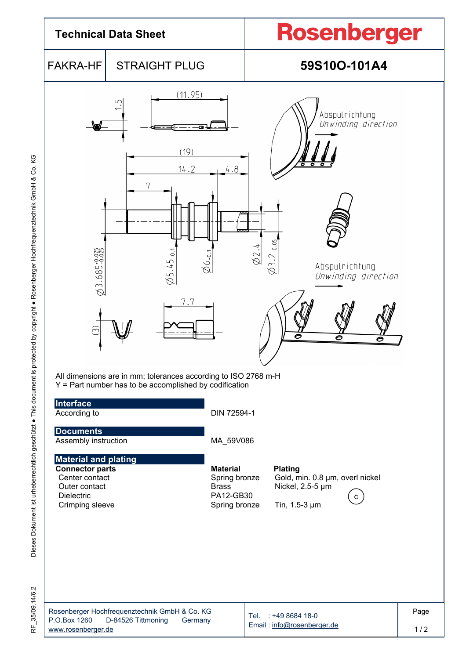